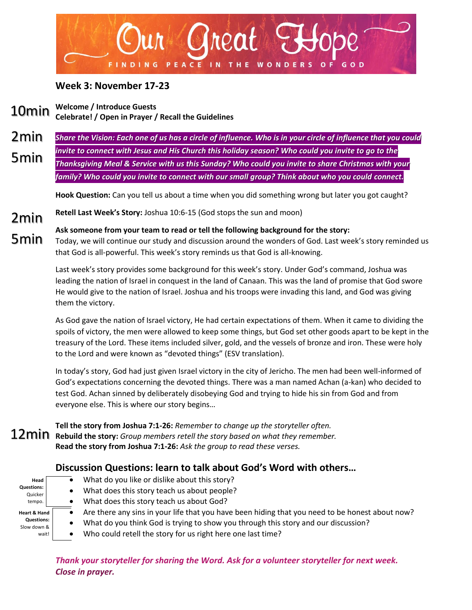

## **Week 3: November 17-23**

**Welcome / Introduce Guests Celebrate! / Open in Prayer / Recall the Guidelines** 10min

*Share the Vision: Each one of us has a circle of influence. Who is in your circle of influence that you could invite to connect with Jesus and His Church this holiday season? Who could you invite to go to the Thanksgiving Meal & Service with us this Sunday? Who could you invite to share Christmas with your family? Who could you invite to connect with our small group? Think about who you could connect.* 2min 5min

**Hook Question:** Can you tell us about a time when you did something wrong but later you got caught?

**Retell Last Week's Story:** Joshua 10:6-15 (God stops the sun and moon) 2min

**Ask someone from your team to read or tell the following background for the story:** Today, we will continue our study and discussion around the wonders of God. Last week's story reminded us that God is all-powerful. This week's story reminds us that God is all-knowing. 5min

> Last week's story provides some background for this week's story. Under God's command, Joshua was leading the nation of Israel in conquest in the land of Canaan. This was the land of promise that God swore He would give to the nation of Israel. Joshua and his troops were invading this land, and God was giving them the victory.

As God gave the nation of Israel victory, He had certain expectations of them. When it came to dividing the spoils of victory, the men were allowed to keep some things, but God set other goods apart to be kept in the treasury of the Lord. These items included silver, gold, and the vessels of bronze and iron. These were holy to the Lord and were known as "devoted things" (ESV translation).

In today's story, God had just given Israel victory in the city of Jericho. The men had been well-informed of God's expectations concerning the devoted things. There was a man named Achan (a-kan) who decided to test God. Achan sinned by deliberately disobeying God and trying to hide his sin from God and from everyone else. This is where our story begins…

**Tell the story from Joshua 7:1-26:** *Remember to change up the storyteller often.* **Rebuild the story:** *Group members retell the story based on what they remember.* **Read the story from Joshua 7:1-26:** *Ask the group to read these verses.*

## **Discussion Questions: learn to talk about God's Word with others…**

- **Head Questions:** Quicker tempo. **Heart & Hand Questions:**  Slow down & wait!
- $\bullet$  What do you like or dislike about this story?
- What does this story teach us about people?
- What does this story teach us about God?
- Are there any sins in your life that you have been hiding that you need to be honest about now?
- What do you think God is trying to show you through this story and our discussion?
- Who could retell the story for us right here one last time?

*Thank your storyteller for sharing the Word. Ask for a volunteer storyteller for next week. Close in prayer.*